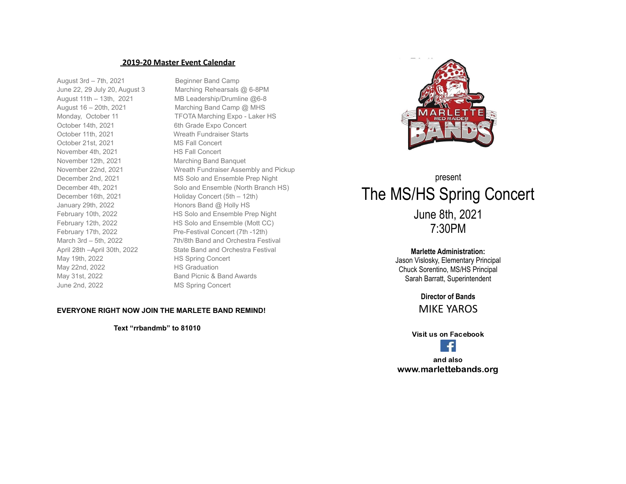## **2019-20 Master Event Calendar**

August 3rd – 7th, 2021 Beginner Band Camp October 14th, 2021 6th Grade Expo Concert October 11th, 2021 Wreath Fundraiser Starts October 21st, 2021 MS Fall Concert November 4th, 2021 HS Fall Concert November 12th, 2021 Marching Band Banquet December 16th, 2021 Holiday Concert (5th – 12th) January 29th, 2022 Honors Band @ Holly HS May 19th, 2022 HS Spring Concert May 22nd, 2022 HS Graduation May 31st, 2022 **Band Picnic & Band Awards** June 2nd, 2022 MS Spring Concert

June 22, 29 July 20, August 3 Marching Rehearsals @ 6-8PM August 11th – 13th, 2021 MB Leadership/Drumline @6-8 August 16 – 20th, 2021 Marching Band Camp @ MHS Monday, October 11 TFOTA Marching Expo - Laker HS November 22nd, 2021 Wreath Fundraiser Assembly and Pickup December 2nd, 2021 MS Solo and Ensemble Prep Night December 4th, 2021 Solo and Ensemble (North Branch HS) February 10th, 2022 HS Solo and Ensemble Prep Night February 12th, 2022 HS Solo and Ensemble (Mott CC) February 17th, 2022 **Pre-Festival Concert (7th -12th)** March 3rd – 5th, 2022 7th/8th Band and Orchestra Festival April 28th –April 30th, 2022 State Band and Orchestra Festival



# present The MS/HS Spring Concert June 8th, 2021 7:30PM

## **Marlette Administration:**

Jason Vislosky, Elementary Principal Chuck Sorentino, MS/HS Principal Sarah Barratt, Superintendent

## **Director of Bands** MIKE YAROS

Visit us on Facebook



and also www.marlettebands.org

## **EVERYONE RIGHT NOW JOIN THE MARLETE BAND REMIND!**

**Text "rrbandmb" to 81010**